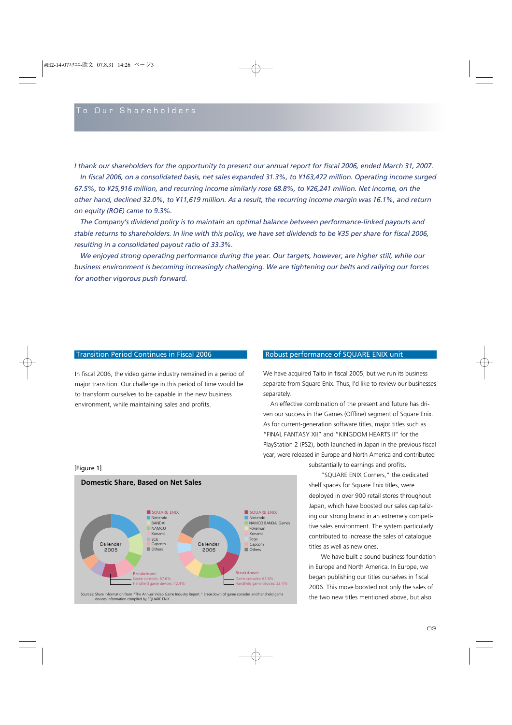*I thank our shareholders for the opportunity to present our annual report for fiscal 2006, ended March 31, 2007.* 

*In fiscal 2006, on a consolidated basis, net sales expanded 31.3%, to ¥163,472 million. Operating income surged 67.5%, to ¥25,916 million, and recurring income similarly rose 68.8%, to ¥26,241 million. Net income, on the other hand, declined 32.0%, to ¥11,619 million. As a result, the recurring income margin was 16.1%, and return on equity (ROE) came to 9.3%.* 

*The Company's dividend policy is to maintain an optimal balance between performance-linked payouts and stable returns to shareholders. In line with this policy, we have set dividends to be ¥35 per share for fiscal 2006, resulting in a consolidated payout ratio of 33.3%.*

*We enjoyed strong operating performance during the year. Our targets, however, are higher still, while our business environment is becoming increasingly challenging. We are tightening our belts and rallying our forces for another vigorous push forward.*

In fiscal 2006, the video game industry remained in a period of major transition. Our challenge in this period of time would be to transform ourselves to be capable in the new business environment, while maintaining sales and profits.

## Transition Period Continues in Fiscal 2006 Robust performance of SQUARE ENIX unit

We have acquired Taito in fiscal 2005, but we run its business separate from Square Enix. Thus, I'd like to review our businesses separately.

An effective combination of the present and future has driven our success in the Games (Offline) segment of Square Enix. As for current-generation software titles, major titles such as "FINAL FANTASY XII" and "KINGDOM HEARTS II" for the PlayStation 2 (PS2), both launched in Japan in the previous fiscal year, were released in Europe and North America and contributed

#### [Figure 1]



Sources: Share information from "The Annual Video Game Industry Report." Breakdown of game consoles and handheld game devices information compiled by SQUARE ENIX

substantially to earnings and profits.

"SQUARE ENIX Corners," the dedicated shelf spaces for Square Enix titles, were deployed in over 900 retail stores throughout Japan, which have boosted our sales capitalizing our strong brand in an extremely competitive sales environment. The system particularly contributed to increase the sales of catalogue titles as well as new ones.

We have built a sound business foundation in Europe and North America. In Europe, we began publishing our titles ourselves in fiscal 2006. This move boosted not only the sales of the two new titles mentioned above, but also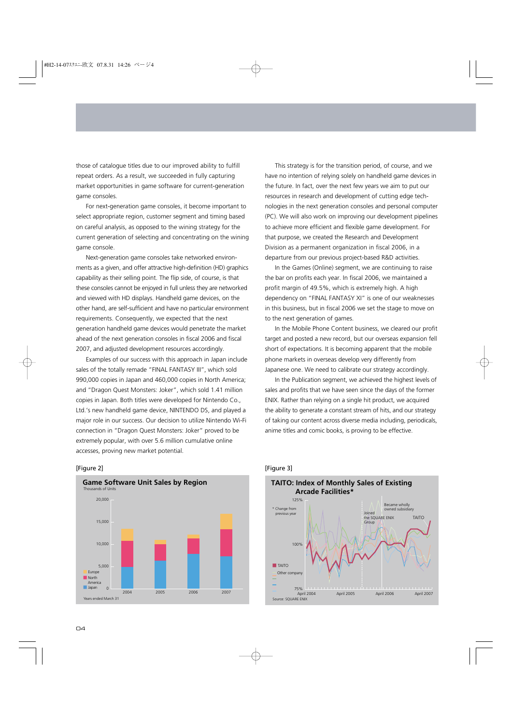those of catalogue titles due to our improved ability to fulfill repeat orders. As a result, we succeeded in fully capturing market opportunities in game software for current-generation game consoles.

For next-generation game consoles, it become important to select appropriate region, customer segment and timing based on careful analysis, as opposed to the wining strategy for the current generation of selecting and concentrating on the wining game console.

Next-generation game consoles take networked environments as a given, and offer attractive high-definition (HD) graphics capability as their selling point. The flip side, of course, is that these consoles cannot be enjoyed in full unless they are networked and viewed with HD displays. Handheld game devices, on the other hand, are self-sufficient and have no particular environment requirements. Consequently, we expected that the next generation handheld game devices would penetrate the market ahead of the next generation consoles in fiscal 2006 and fiscal 2007, and adjusted development resources accordingly.

Examples of our success with this approach in Japan include sales of the totally remade "FINAL FANTASY III", which sold 990,000 copies in Japan and 460,000 copies in North America; and "Dragon Quest Monsters: Joker", which sold 1.41 million copies in Japan. Both titles were developed for Nintendo Co., Ltd.'s new handheld game device, NINTENDO DS, and played a major role in our success. Our decision to utilize Nintendo Wi-Fi connection in "Dragon Quest Monsters: Joker" proved to be extremely popular, with over 5.6 million cumulative online accesses, proving new market potential.

#### [Figure 2]



This strategy is for the transition period, of course, and we have no intention of relying solely on handheld game devices in the future. In fact, over the next few years we aim to put our resources in research and development of cutting edge technologies in the next generation consoles and personal computer (PC). We will also work on improving our development pipelines to achieve more efficient and flexible game development. For that purpose, we created the Research and Development Division as a permanent organization in fiscal 2006, in a departure from our previous project-based R&D activities.

In the Games (Online) segment, we are continuing to raise the bar on profits each year. In fiscal 2006, we maintained a profit margin of 49.5%, which is extremely high. A high dependency on "FINAL FANTASY XI" is one of our weaknesses in this business, but in fiscal 2006 we set the stage to move on to the next generation of games.

In the Mobile Phone Content business, we cleared our profit target and posted a new record, but our overseas expansion fell short of expectations. It is becoming apparent that the mobile phone markets in overseas develop very differently from Japanese one. We need to calibrate our strategy accordingly.

In the Publication segment, we achieved the highest levels of sales and profits that we have seen since the days of the former ENIX. Rather than relying on a single hit product, we acquired the ability to generate a constant stream of hits, and our strategy of taking our content across diverse media including, periodicals, anime titles and comic books, is proving to be effective.



# [Figure 3]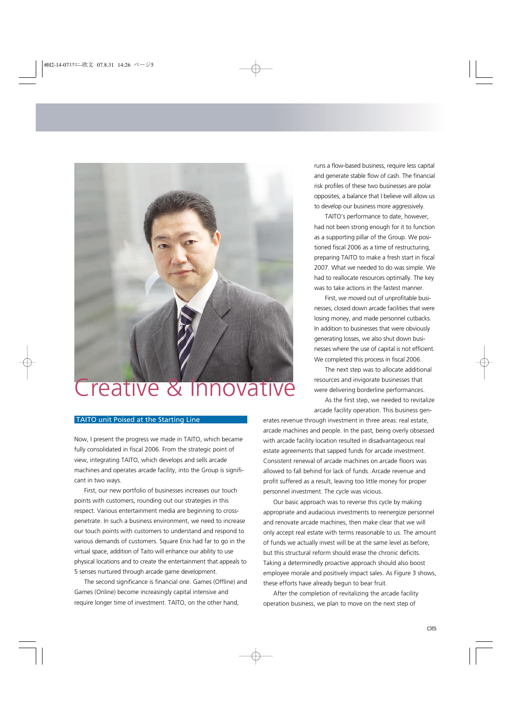

# Creative & Innovative

runs a flow-based business, require less capital and generate stable flow of cash. The financial risk profiles of these two businesses are polar opposites, a balance that I believe will allow us to develop our business more aggressively.

TAITO's performance to date, however, had not been strong enough for it to function as a supporting pillar of the Group. We positioned fiscal 2006 as a time of restructuring, preparing TAITO to make a fresh start in fiscal 2007. What we needed to do was simple. We had to reallocate resources optimally. The key was to take actions in the fastest manner.

First, we moved out of unprofitable businesses, closed down arcade facilities that were losing money, and made personnel cutbacks. In addition to businesses that were obviously generating losses, we also shut down businesses where the use of capital is not efficient. We completed this process in fiscal 2006.

The next step was to allocate additional resources and invigorate businesses that were delivering borderline performances.

As the first step, we needed to revitalize arcade facility operation. This business gen-

# TAITO unit Poised at the Starting Line

Now, I present the progress we made in TAITO, which became fully consolidated in fiscal 2006. From the strategic point of view, integrating TAITO, which develops and sells arcade machines and operates arcade facility, into the Group is significant in two ways.

First, our new portfolio of businesses increases our touch points with customers, rounding out our strategies in this respect. Various entertainment media are beginning to crosspenetrate. In such a business environment, we need to increase our touch points with customers to understand and respond to various demands of customers. Square Enix had far to go in the virtual space, addition of Taito will enhance our ability to use physical locations and to create the entertainment that appeals to 5 senses nurtured through arcade game development.

The second significance is financial one. Games (Offline) and Games (Online) become increasingly capital intensive and require longer time of investment. TAITO, on the other hand,

erates revenue through investment in three areas: real estate, arcade machines and people. In the past, being overly obsessed with arcade facility location resulted in disadvantageous real estate agreements that sapped funds for arcade investment. Consistent renewal of arcade machines on arcade floors was allowed to fall behind for lack of funds. Arcade revenue and profit suffered as a result, leaving too little money for proper personnel investment. The cycle was vicious.

Our basic approach was to reverse this cycle by making appropriate and audacious investments to reenergize personnel and renovate arcade machines, then make clear that we will only accept real estate with terms reasonable to us. The amount of funds we actually invest will be at the same level as before, but this structural reform should erase the chronic deficits. Taking a determinedly proactive approach should also boost employee morale and positively impact sales. As Figure 3 shows, these efforts have already begun to bear fruit.

After the completion of revitalizing the arcade facility operation business, we plan to move on the next step of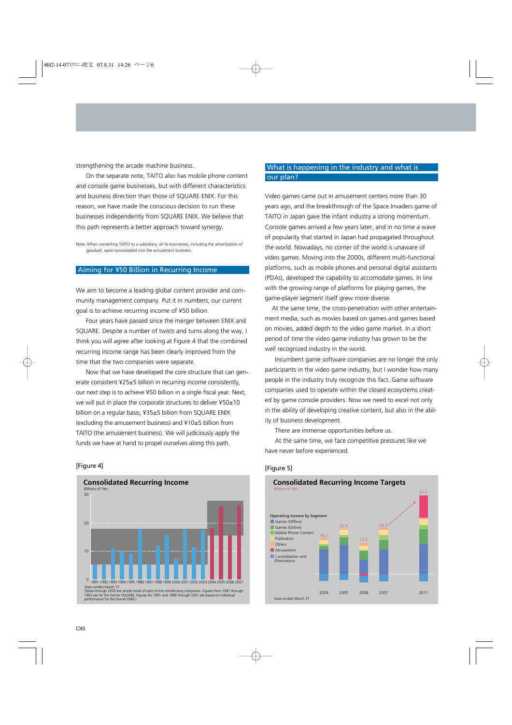strengthening the arcade machine business.

On the separate note, TAITO also has mobile phone content and console game businesses, but with different characteristics and business direction than those of SQUARE ENIX. For this reason, we have made the conscious decision to run these businesses independently from SQUARE ENIX. We believe that this path represents a better approach toward synergy.

Note: When converting TAITO to a subsidiary, all its businesses, including the amortization of goodwill, were consolidated into the amusement business.

# Aiming for ¥50 Billion in Recurring Income

We aim to become a leading global content provider and community management company. Put it in numbers, our current goal is to achieve recurring income of ¥50 billion.

Four years have passed since the merger between ENIX and SQUARE. Despite a number of twists and turns along the way, I think you will agree after looking at Figure 4 that the combined recurring income range has been clearly improved from the time that the two companies were separate.

Now that we have developed the core structure that can generate consistent ¥25±5 billion in recurring income consistently, our next step is to achieve ¥50 billion in a single fiscal year. Next, we will put in place the corporate structures to deliver ¥50±10 billion on a regular basis; ¥35±5 billion from SQUARE ENIX (excluding the amusement business) and ¥10±5 billion from TAITO (the amusement business). We will judiciously apply the funds we have at hand to propel ourselves along this path.

#### [Figure 4]



# What is happening in the industry and what is our plan?

Video games came out in amusement centers more than 30 years ago, and the breakthrough of the Space Invaders game of TAITO in Japan gave the infant industry a strong momentum. Console games arrived a few years later, and in no time a wave of popularity that started in Japan had propagated throughout the world. Nowadays, no corner of the world is unaware of video games. Moving into the 2000s, different multi-functional platforms, such as mobile phones and personal digital assistants (PDAs), developed the capability to accomodate games. In line with the growing range of platforms for playing games, the game-player segment itself grew more diverse.

At the same time, the cross-penetration with other entertainment media, such as movies based on games and games based on movies, added depth to the video game market. In a short period of time the video game industry has grown to be the well recognized industry in the world.

Incumbent game software companies are no longer the only participants in the video game industry, but I wonder how many people in the industry truly recognize this fact. Game software companies used to operate within the closed ecosystems created by game console providers. Now we need to excel not only in the ability of developing creative content, but also in the ability of business development.

There are immense opportunities before us.

At the same time, we face competitive pressures like we have never before experienced.

#### [Figure 5]